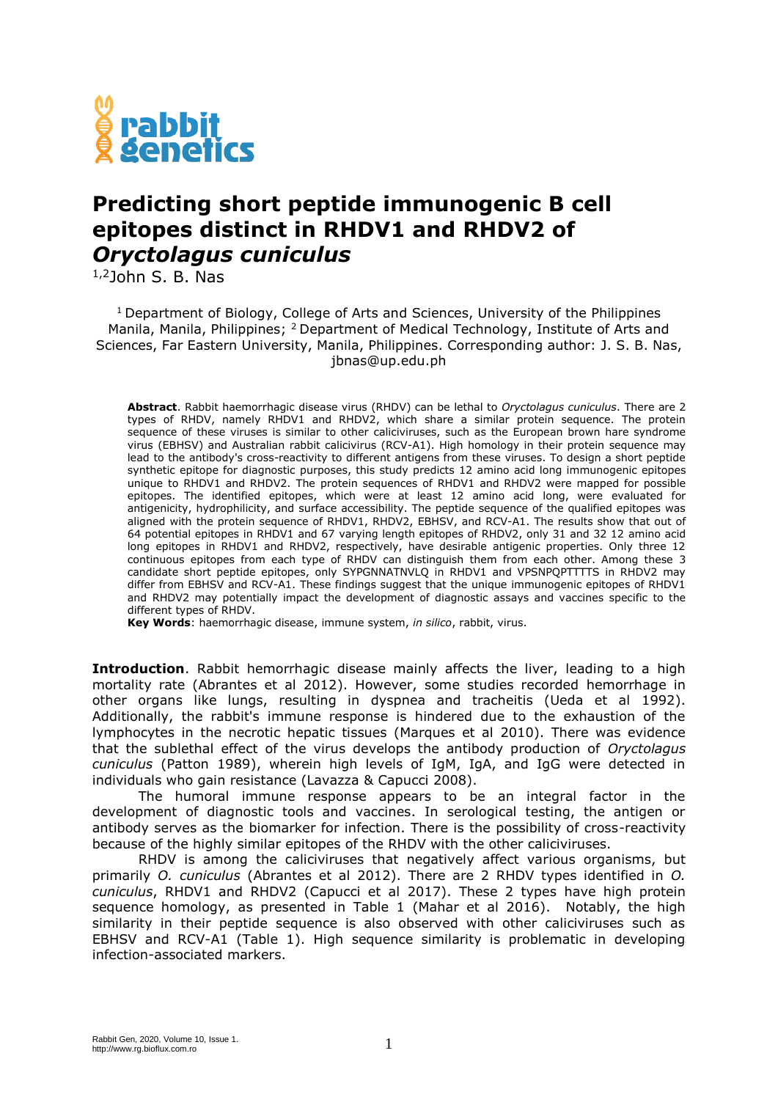

## **Predicting short peptide immunogenic B cell epitopes distinct in RHDV1 and RHDV2 of**  *Oryctolagus cuniculus*

1,2John S. B. Nas

<sup>1</sup> Department of Biology, College of Arts and Sciences, University of the Philippines Manila, Manila, Philippines; <sup>2</sup> Department of Medical Technology, Institute of Arts and Sciences, Far Eastern University, Manila, Philippines. Corresponding author: J. S. B. Nas, jbnas@up.edu.ph

**Abstract**. Rabbit haemorrhagic disease virus (RHDV) can be lethal to *Oryctolagus cuniculus*. There are 2 types of RHDV, namely RHDV1 and RHDV2, which share a similar protein sequence. The protein sequence of these viruses is similar to other caliciviruses, such as the European brown hare syndrome virus (EBHSV) and Australian rabbit calicivirus (RCV-A1). High homology in their protein sequence may lead to the antibody's cross-reactivity to different antigens from these viruses. To design a short peptide synthetic epitope for diagnostic purposes, this study predicts 12 amino acid long immunogenic epitopes unique to RHDV1 and RHDV2. The protein sequences of RHDV1 and RHDV2 were mapped for possible epitopes. The identified epitopes, which were at least 12 amino acid long, were evaluated for antigenicity, hydrophilicity, and surface accessibility. The peptide sequence of the qualified epitopes was aligned with the protein sequence of RHDV1, RHDV2, EBHSV, and RCV-A1. The results show that out of 64 potential epitopes in RHDV1 and 67 varying length epitopes of RHDV2, only 31 and 32 12 amino acid long epitopes in RHDV1 and RHDV2, respectively, have desirable antigenic properties. Only three 12 continuous epitopes from each type of RHDV can distinguish them from each other. Among these 3 candidate short peptide epitopes, only SYPGNNATNVLQ in RHDV1 and VPSNPQPTTTTS in RHDV2 may differ from EBHSV and RCV-A1. These findings suggest that the unique immunogenic epitopes of RHDV1 and RHDV2 may potentially impact the development of diagnostic assays and vaccines specific to the different types of RHDV.

**Key Words**: haemorrhagic disease, immune system, *in silico*, rabbit, virus.

**Introduction**. Rabbit hemorrhagic disease mainly affects the liver, leading to a high mortality rate (Abrantes et al 2012). However, some studies recorded hemorrhage in other organs like lungs, resulting in dyspnea and tracheitis (Ueda et al 1992). Additionally, the rabbit's immune response is hindered due to the exhaustion of the lymphocytes in the necrotic hepatic tissues (Marques et al 2010). There was evidence that the sublethal effect of the virus develops the antibody production of *Oryctolagus cuniculus* (Patton 1989), wherein high levels of IgM, IgA, and IgG were detected in individuals who gain resistance (Lavazza & Capucci 2008).

The humoral immune response appears to be an integral factor in the development of diagnostic tools and vaccines. In serological testing, the antigen or antibody serves as the biomarker for infection. There is the possibility of cross-reactivity because of the highly similar epitopes of the RHDV with the other caliciviruses.

RHDV is among the caliciviruses that negatively affect various organisms, but primarily *O. cuniculus* (Abrantes et al 2012). There are 2 RHDV types identified in *O. cuniculus*, RHDV1 and RHDV2 (Capucci et al 2017). These 2 types have high protein sequence homology, as presented in Table 1 (Mahar et al 2016). Notably, the high similarity in their peptide sequence is also observed with other caliciviruses such as EBHSV and RCV-A1 (Table 1). High sequence similarity is problematic in developing infection-associated markers.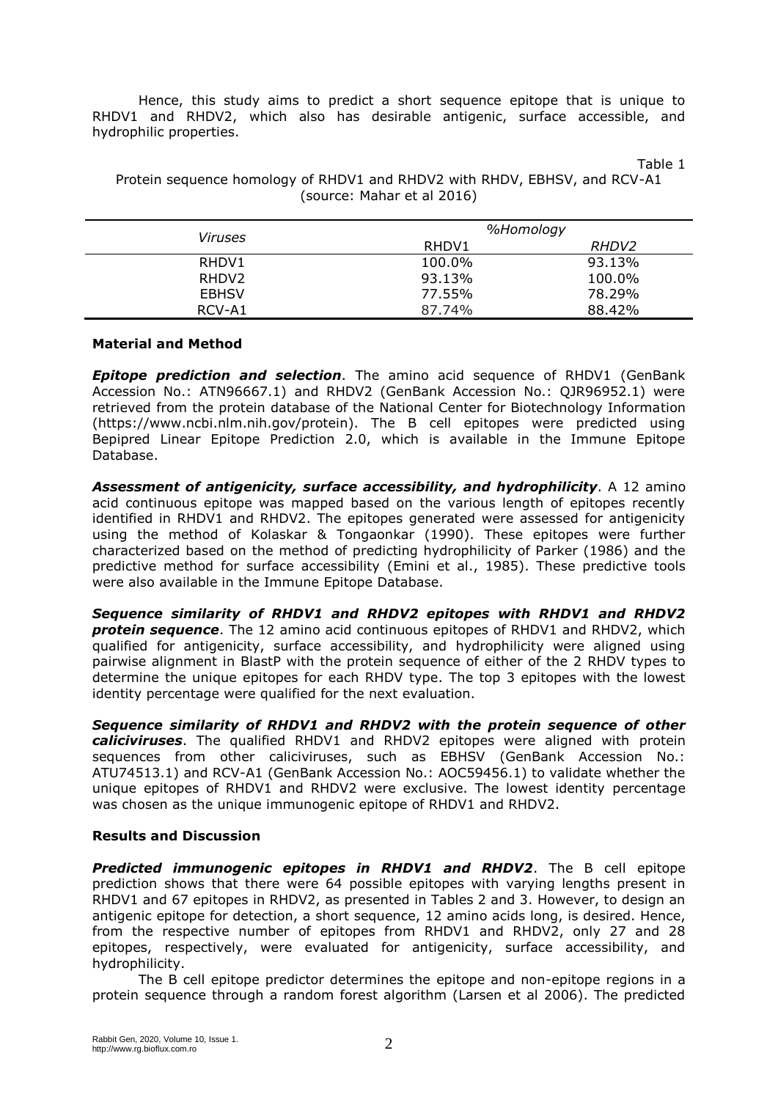Hence, this study aims to predict a short sequence epitope that is unique to RHDV1 and RHDV2, which also has desirable antigenic, surface accessible, and hydrophilic properties.

Table 1

|                            | Protein sequence homology of RHDV1 and RHDV2 with RHDV, EBHSV, and RCV-A1 |
|----------------------------|---------------------------------------------------------------------------|
| (source: Mahar et al 2016) |                                                                           |

|                   | %Homology |                   |
|-------------------|-----------|-------------------|
| <i>Viruses</i>    | RHDV1     | RHDV <sub>2</sub> |
| RHDV1             | 100.0%    | 93.13%            |
| RHDV <sub>2</sub> | 93.13%    | 100.0%            |
| <b>EBHSV</b>      | 77.55%    | 78.29%            |
| RCV-A1            | 87.74%    | 88.42%            |

## **Material and Method**

*Epitope prediction and selection*. The amino acid sequence of RHDV1 (GenBank Accession No.: ATN96667.1) and RHDV2 (GenBank Accession No.: QJR96952.1) were retrieved from the protein database of the National Center for Biotechnology Information (https://www.ncbi.nlm.nih.gov/protein). The B cell epitopes were predicted using Bepipred Linear Epitope Prediction 2.0, which is available in the Immune Epitope Database.

*Assessment of antigenicity, surface accessibility, and hydrophilicity*. A 12 amino acid continuous epitope was mapped based on the various length of epitopes recently identified in RHDV1 and RHDV2. The epitopes generated were assessed for antigenicity using the method of Kolaskar & Tongaonkar (1990). These epitopes were further characterized based on the method of predicting hydrophilicity of Parker (1986) and the predictive method for surface accessibility (Emini et al., 1985). These predictive tools were also available in the Immune Epitope Database.

*Sequence similarity of RHDV1 and RHDV2 epitopes with RHDV1 and RHDV2*  **protein sequence**. The 12 amino acid continuous epitopes of RHDV1 and RHDV2, which qualified for antigenicity, surface accessibility, and hydrophilicity were aligned using pairwise alignment in BlastP with the protein sequence of either of the 2 RHDV types to determine the unique epitopes for each RHDV type. The top 3 epitopes with the lowest identity percentage were qualified for the next evaluation.

*Sequence similarity of RHDV1 and RHDV2 with the protein sequence of other caliciviruses*. The qualified RHDV1 and RHDV2 epitopes were aligned with protein sequences from other caliciviruses, such as EBHSV (GenBank Accession No.: ATU74513.1) and RCV-A1 (GenBank Accession No.: AOC59456.1) to validate whether the unique epitopes of RHDV1 and RHDV2 were exclusive. The lowest identity percentage was chosen as the unique immunogenic epitope of RHDV1 and RHDV2.

## **Results and Discussion**

*Predicted immunogenic epitopes in RHDV1 and RHDV2*. The B cell epitope prediction shows that there were 64 possible epitopes with varying lengths present in RHDV1 and 67 epitopes in RHDV2, as presented in Tables 2 and 3. However, to design an antigenic epitope for detection, a short sequence, 12 amino acids long, is desired. Hence, from the respective number of epitopes from RHDV1 and RHDV2, only 27 and 28 epitopes, respectively, were evaluated for antigenicity, surface accessibility, and hydrophilicity.

The B cell epitope predictor determines the epitope and non-epitope regions in a protein sequence through a random forest algorithm (Larsen et al 2006). The predicted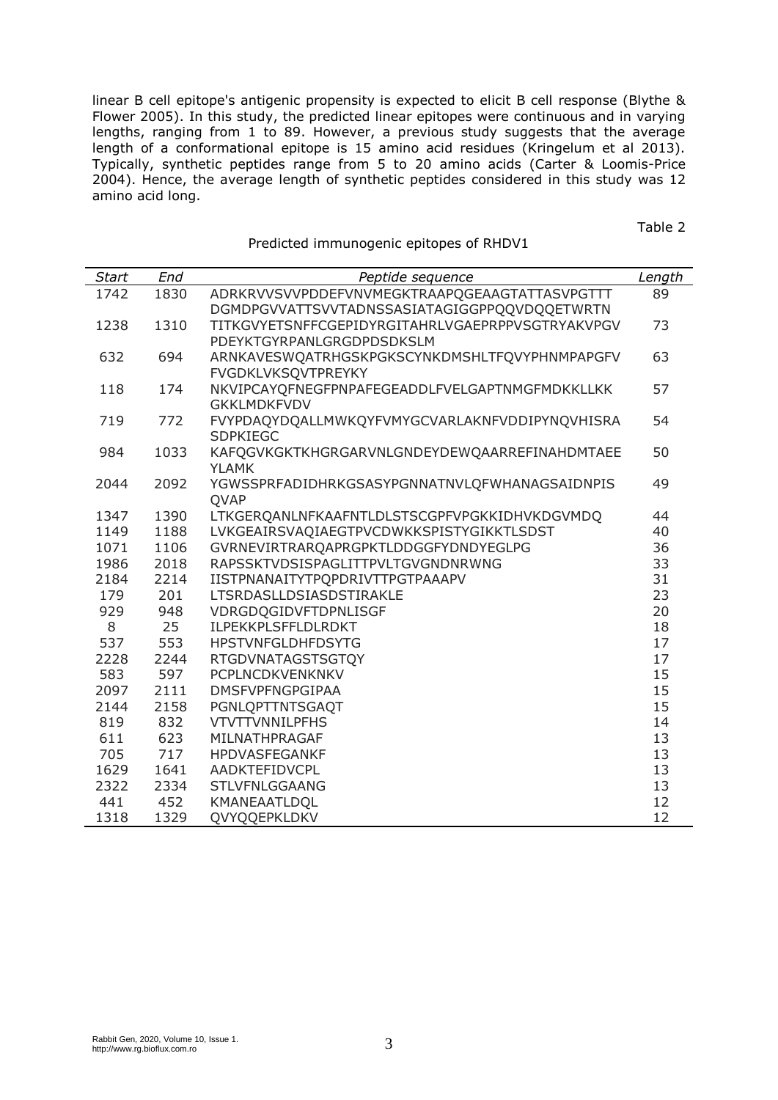linear B cell epitope's antigenic propensity is expected to elicit B cell response (Blythe & Flower 2005). In this study, the predicted linear epitopes were continuous and in varying lengths, ranging from 1 to 89. However, a previous study suggests that the average length of a conformational epitope is 15 amino acid residues (Kringelum et al 2013). Typically, synthetic peptides range from 5 to 20 amino acids (Carter & Loomis-Price 2004). Hence, the average length of synthetic peptides considered in this study was 12 amino acid long.

Predicted immunogenic epitopes of RHDV1

| <b>Start</b> | End  | Peptide sequence                                 | Length |
|--------------|------|--------------------------------------------------|--------|
| 1742         | 1830 | ADRKRVVSVVPDDEFVNVMEGKTRAAPQGEAAGTATTASVPGTTT    | 89     |
|              |      | DGMDPGVVATTSVVTADNSSASIATAGIGGPPQQVDQQETWRTN     |        |
| 1238         | 1310 | TITKGVYETSNFFCGEPIDYRGITAHRLVGAEPRPPVSGTRYAKVPGV | 73     |
|              |      | PDEYKTGYRPANLGRGDPDSDKSLM                        |        |
| 632          | 694  | ARNKAVESWQATRHGSKPGKSCYNKDMSHLTFQVYPHNMPAPGFV    | 63     |
|              |      | <b>FVGDKLVKSQVTPREYKY</b>                        |        |
| 118          | 174  | NKVIPCAYQFNEGFPNPAFEGEADDLFVELGAPTNMGFMDKKLLKK   | 57     |
|              |      | <b>GKKLMDKFVDV</b>                               |        |
| 719          | 772  | FVYPDAQYDQALLMWKQYFVMYGCVARLAKNFVDDIPYNQVHISRA   | 54     |
|              |      | <b>SDPKIEGC</b>                                  |        |
| 984          | 1033 | KAFQGVKGKTKHGRGARVNLGNDEYDEWQAARREFINAHDMTAEE    | 50     |
|              |      | <b>YLAMK</b>                                     |        |
| 2044         | 2092 | YGWSSPRFADIDHRKGSASYPGNNATNVLQFWHANAGSAIDNPIS    | 49     |
|              |      | QVAP                                             |        |
| 1347         | 1390 | LTKGERQANLNFKAAFNTLDLSTSCGPFVPGKKIDHVKDGVMDQ     | 44     |
| 1149         | 1188 | LVKGEAIRSVAQIAEGTPVCDWKKSPISTYGIKKTLSDST         | 40     |
| 1071         | 1106 | GVRNEVIRTRARQAPRGPKTLDDGGFYDNDYEGLPG             | 36     |
| 1986         | 2018 | RAPSSKTVDSISPAGLITTPVLTGVGNDNRWNG                | 33     |
| 2184         | 2214 | IISTPNANAITYTPQPDRIVTTPGTPAAAPV                  | 31     |
| 179          | 201  | LTSRDASLLDSIASDSTIRAKLE                          | 23     |
| 929          | 948  | VDRGDQGIDVFTDPNLISGF                             | 20     |
| 8            | 25   | ILPEKKPLSFFLDLRDKT                               | 18     |
| 537          | 553  | <b>HPSTVNFGLDHFDSYTG</b>                         | 17     |
| 2228         | 2244 | <b>RTGDVNATAGSTSGTQY</b>                         | 17     |
| 583          | 597  | PCPLNCDKVENKNKV                                  | 15     |
| 2097         | 2111 | <b>DMSFVPFNGPGIPAA</b>                           | 15     |
| 2144         | 2158 | PGNLQPTTNTSGAQT                                  | 15     |
| 819          | 832  | <b>VTVTTVNNILPFHS</b>                            | 14     |
| 611          | 623  | MILNATHPRAGAF                                    | 13     |
| 705          | 717  | HPDVASFEGANKF                                    | 13     |
| 1629         | 1641 | AADKTEFIDVCPL                                    | 13     |
| 2322         | 2334 | <b>STLVFNLGGAANG</b>                             | 13     |
| 441          | 452  | KMANEAATLDQL                                     | 12     |
| 1318         | 1329 | <b>OVYOOEPKLDKV</b>                              | 12     |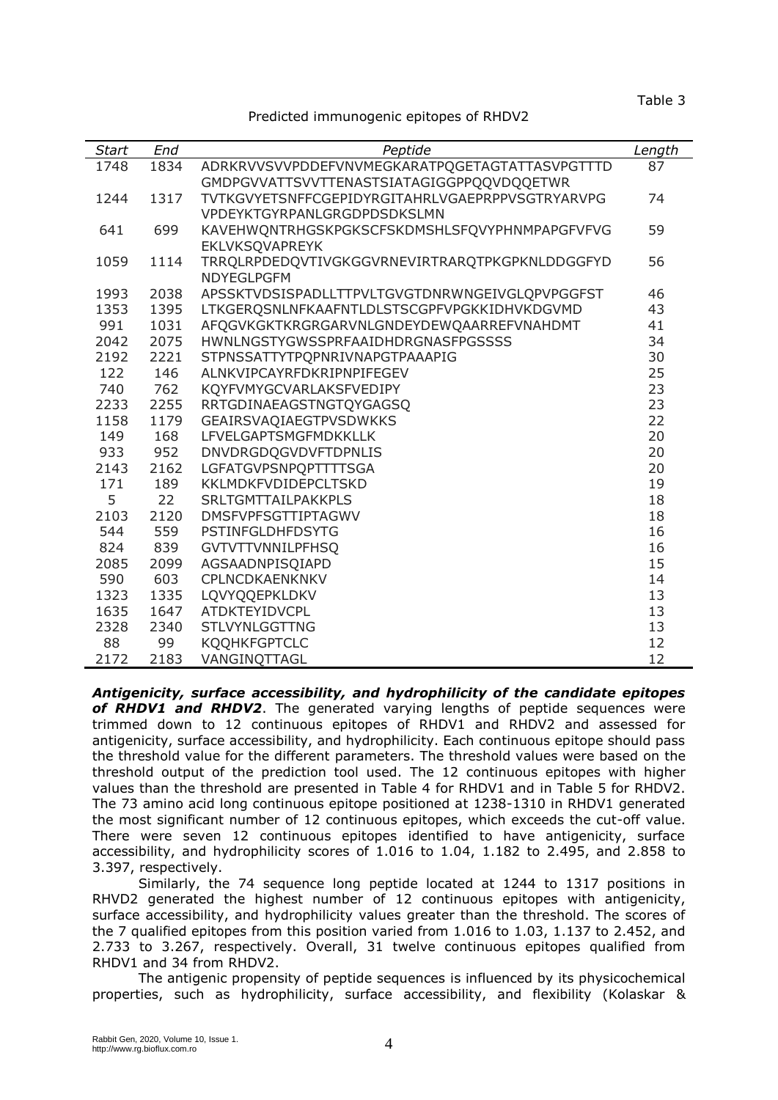Table 3

Predicted immunogenic epitopes of RHDV2

| <b>Start</b> | End  | Peptide                                         | Length |
|--------------|------|-------------------------------------------------|--------|
| 1748         | 1834 | ADRKRVVSVVPDDEFVNVMEGKARATPQGETAGTATTASVPGTTTD  | 87     |
|              |      | GMDPGVVATTSVVTTENASTSIATAGIGGPPQQVDQQETWR       |        |
| 1244         | 1317 | TVTKGVYETSNFFCGEPIDYRGITAHRLVGAEPRPPVSGTRYARVPG | 74     |
|              |      | VPDEYKTGYRPANLGRGDPDSDKSLMN                     |        |
| 641          | 699  | KAVEHWQNTRHGSKPGKSCFSKDMSHLSFQVYPHNMPAPGFVFVG   | 59     |
|              |      | <b>EKLVKSQVAPREYK</b>                           |        |
| 1059         | 1114 | TRRQLRPDEDQVTIVGKGGVRNEVIRTRARQTPKGPKNLDDGGFYD  | 56     |
|              |      | <b>NDYEGLPGFM</b>                               |        |
| 1993         | 2038 | APSSKTVDSISPADLLTTPVLTGVGTDNRWNGEIVGLQPVPGGFST  | 46     |
| 1353         | 1395 | LTKGERQSNLNFKAAFNTLDLSTSCGPFVPGKKIDHVKDGVMD     | 43     |
| 991          | 1031 | AFQGVKGKTKRGRGARVNLGNDEYDEWQAARREFVNAHDMT       | 41     |
| 2042         | 2075 | HWNLNGSTYGWSSPRFAAIDHDRGNASFPGSSSS              | 34     |
| 2192         | 2221 | STPNSSATTYTPQPNRIVNAPGTPAAAPIG                  | 30     |
| 122          | 146  | ALNKVIPCAYRFDKRIPNPIFEGEV                       | 25     |
| 740          | 762  | KQYFVMYGCVARLAKSFVEDIPY                         | 23     |
| 2233         | 2255 | RRTGDINAEAGSTNGTQYGAGSQ                         | 23     |
| 1158         | 1179 | GEAIRSVAQIAEGTPVSDWKKS                          | 22     |
| 149          | 168  | LFVELGAPTSMGFMDKKLLK                            | 20     |
| 933          | 952  | <b>DNVDRGDQGVDVFTDPNLIS</b>                     | 20     |
| 2143         | 2162 | <b>LGFATGVPSNPQPTTTTSGA</b>                     | 20     |
| 171          | 189  | KKLMDKFVDIDEPCLTSKD                             | 19     |
| 5            | 22   | <b>SRLTGMTTAILPAKKPLS</b>                       | 18     |
| 2103         | 2120 | <b>DMSFVPFSGTTIPTAGWV</b>                       | 18     |
| 544          | 559  | <b>PSTINFGLDHFDSYTG</b>                         | 16     |
| 824          | 839  | <b>GVTVTTVNNILPFHSQ</b>                         | 16     |
| 2085         | 2099 | AGSAADNPISQIAPD                                 | 15     |
| 590          | 603  | CPLNCDKAENKNKV                                  | 14     |
| 1323         | 1335 | LQVYQQEPKLDKV                                   | 13     |
| 1635         | 1647 | ATDKTEYIDVCPL                                   | 13     |
| 2328         | 2340 | <b>STLVYNLGGTTNG</b>                            | 13     |
| 88           | 99   | <b>KQQHKFGPTCLC</b>                             | 12     |
| 2172         | 2183 | VANGINQTTAGL                                    | 12     |

*Antigenicity, surface accessibility, and hydrophilicity of the candidate epitopes*  of RHDV1 and RHDV2. The generated varying lengths of peptide sequences were trimmed down to 12 continuous epitopes of RHDV1 and RHDV2 and assessed for antigenicity, surface accessibility, and hydrophilicity. Each continuous epitope should pass the threshold value for the different parameters. The threshold values were based on the threshold output of the prediction tool used. The 12 continuous epitopes with higher values than the threshold are presented in Table 4 for RHDV1 and in Table 5 for RHDV2. The 73 amino acid long continuous epitope positioned at 1238-1310 in RHDV1 generated the most significant number of 12 continuous epitopes, which exceeds the cut-off value. There were seven 12 continuous epitopes identified to have antigenicity, surface accessibility, and hydrophilicity scores of 1.016 to 1.04, 1.182 to 2.495, and 2.858 to 3.397, respectively.

Similarly, the 74 sequence long peptide located at 1244 to 1317 positions in RHVD2 generated the highest number of 12 continuous epitopes with antigenicity, surface accessibility, and hydrophilicity values greater than the threshold. The scores of the 7 qualified epitopes from this position varied from 1.016 to 1.03, 1.137 to 2.452, and 2.733 to 3.267, respectively. Overall, 31 twelve continuous epitopes qualified from RHDV1 and 34 from RHDV2.

The antigenic propensity of peptide sequences is influenced by its physicochemical properties, such as hydrophilicity, surface accessibility, and flexibility (Kolaskar &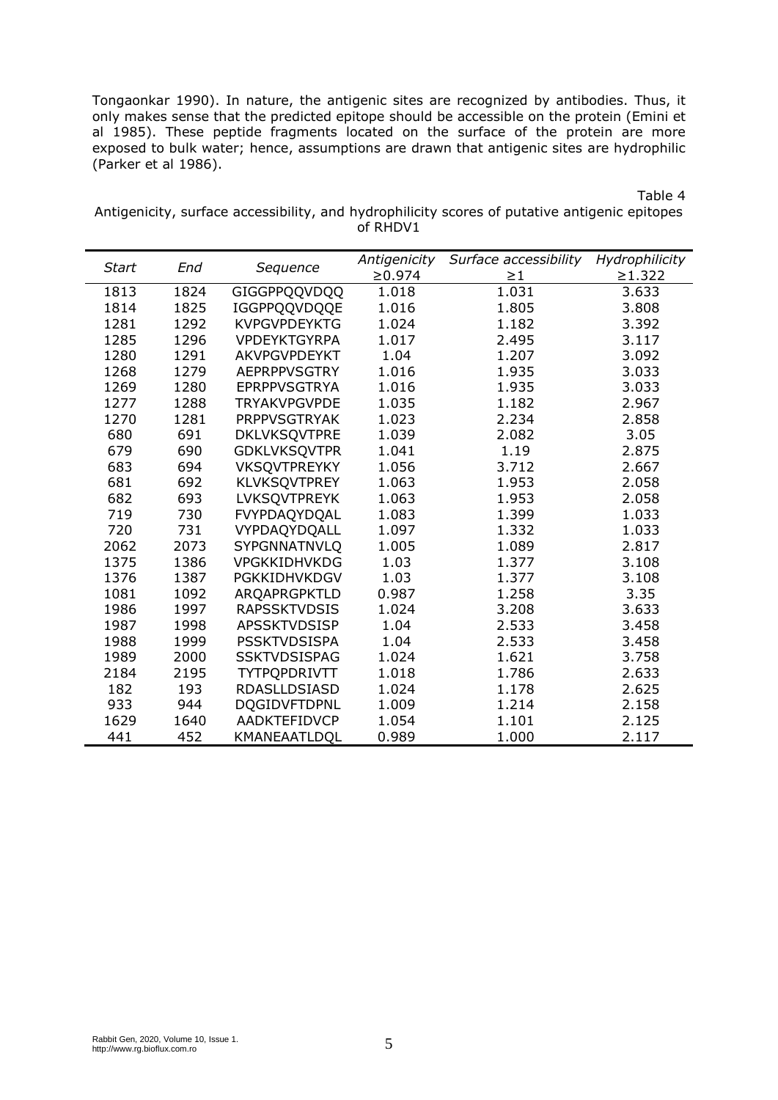Tongaonkar 1990). In nature, the antigenic sites are recognized by antibodies. Thus, it only makes sense that the predicted epitope should be accessible on the protein (Emini et al 1985). These peptide fragments located on the surface of the protein are more exposed to bulk water; hence, assumptions are drawn that antigenic sites are hydrophilic (Parker et al 1986).

Table 4

| Antigenicity, surface accessibility, and hydrophilicity scores of putative antigenic epitopes |          |  |  |
|-----------------------------------------------------------------------------------------------|----------|--|--|
|                                                                                               | of RHDV1 |  |  |

| <b>Start</b> | End  | Sequence            | Antigenicity<br>$\geq 0.974$ | Surface accessibility<br>$\geq$ 1 | Hydrophilicity<br>$\geq 1.322$ |
|--------------|------|---------------------|------------------------------|-----------------------------------|--------------------------------|
| 1813         | 1824 | GIGGPPQQVDQQ        | 1.018                        | 1.031                             | 3.633                          |
| 1814         | 1825 | IGGPPQQVDQQE        | 1.016                        | 1.805                             | 3.808                          |
| 1281         | 1292 | <b>KVPGVPDEYKTG</b> | 1.024                        | 1.182                             | 3.392                          |
| 1285         | 1296 | <b>VPDEYKTGYRPA</b> | 1.017                        | 2.495                             | 3.117                          |
| 1280         | 1291 | <b>AKVPGVPDEYKT</b> | 1.04                         | 1.207                             |                                |
|              |      |                     |                              |                                   | 3.092                          |
| 1268         | 1279 | <b>AEPRPPVSGTRY</b> | 1.016                        | 1.935                             | 3.033                          |
| 1269         | 1280 | <b>EPRPPVSGTRYA</b> | 1.016                        | 1.935                             | 3.033                          |
| 1277         | 1288 | <b>TRYAKVPGVPDE</b> | 1.035                        | 1.182                             | 2.967                          |
| 1270         | 1281 | <b>PRPPVSGTRYAK</b> | 1.023                        | 2.234                             | 2.858                          |
| 680          | 691  | DKLVKSQVTPRE        | 1.039                        | 2.082                             | 3.05                           |
| 679          | 690  | <b>GDKLVKSQVTPR</b> | 1.041                        | 1.19                              | 2.875                          |
| 683          | 694  | <b>VKSQVTPREYKY</b> | 1.056                        | 3.712                             | 2.667                          |
| 681          | 692  | <b>KLVKSQVTPREY</b> | 1.063                        | 1.953                             | 2.058                          |
| 682          | 693  | <b>LVKSQVTPREYK</b> | 1.063                        | 1.953                             | 2.058                          |
| 719          | 730  | FVYPDAQYDQAL        | 1.083                        | 1.399                             | 1.033                          |
| 720          | 731  | VYPDAQYDQALL        | 1.097                        | 1.332                             | 1.033                          |
| 2062         | 2073 | SYPGNNATNVLQ        | 1.005                        | 1.089                             | 2.817                          |
| 1375         | 1386 | <b>VPGKKIDHVKDG</b> | 1.03                         | 1.377                             | 3.108                          |
| 1376         | 1387 | PGKKIDHVKDGV        | 1.03                         | 1.377                             | 3.108                          |
| 1081         | 1092 | ARQAPRGPKTLD        | 0.987                        | 1.258                             | 3.35                           |
| 1986         | 1997 | <b>RAPSSKTVDSIS</b> | 1.024                        | 3.208                             | 3.633                          |
| 1987         | 1998 | <b>APSSKTVDSISP</b> | 1.04                         | 2.533                             | 3.458                          |
| 1988         | 1999 | <b>PSSKTVDSISPA</b> | 1.04                         | 2.533                             | 3.458                          |
| 1989         | 2000 | <b>SSKTVDSISPAG</b> | 1.024                        | 1.621                             | 3.758                          |
| 2184         | 2195 | <b>TYTPQPDRIVTT</b> | 1.018                        | 1.786                             | 2.633                          |
| 182          | 193  | RDASLLDSIASD        | 1.024                        | 1.178                             | 2.625                          |
| 933          | 944  | <b>DOGIDVFTDPNL</b> | 1.009                        | 1.214                             | 2.158                          |
| 1629         | 1640 | AADKTEFIDVCP        | 1.054                        | 1.101                             | 2.125                          |
| 441          | 452  | KMANEAATLDQL        | 0.989                        | 1.000                             | 2.117                          |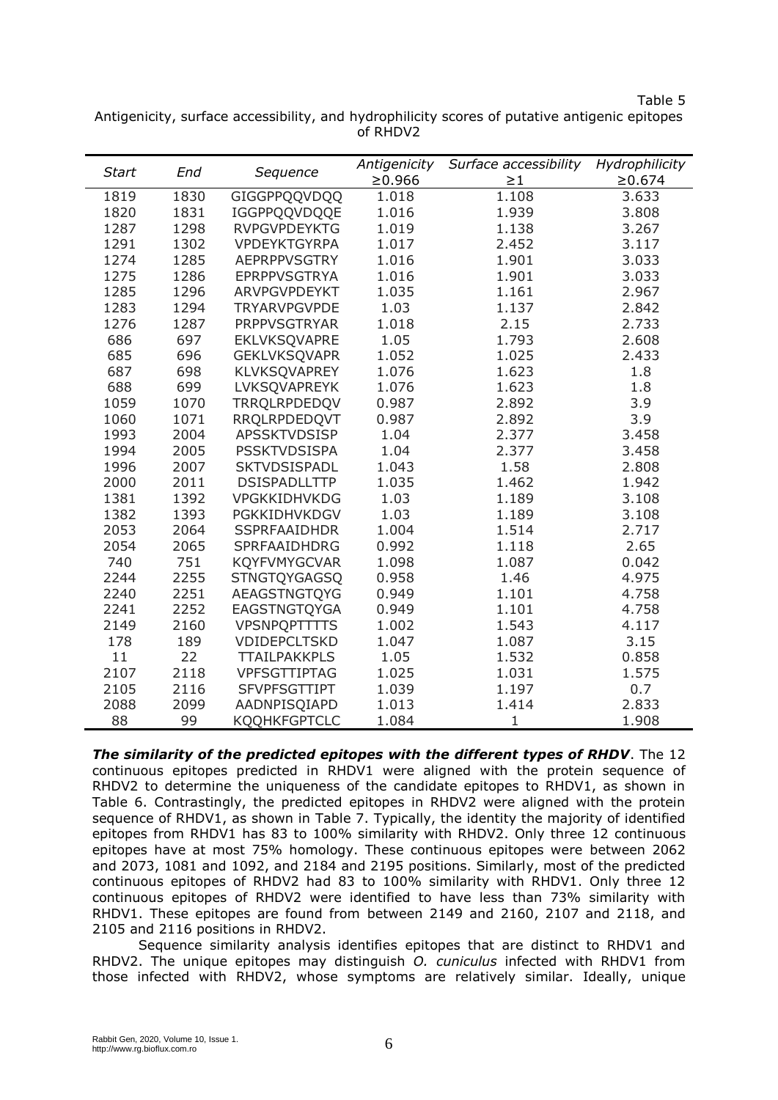Table 5

| <b>Start</b> | End  | Sequence            | Antigenicity<br>≥0.966 | Surface accessibility<br>$\geq\!1$ | Hydrophilicity<br>$\ge 0.674$ |
|--------------|------|---------------------|------------------------|------------------------------------|-------------------------------|
| 1819         | 1830 | GIGGPPQQVDQQ        | 1.018                  | 1.108                              | 3.633                         |
| 1820         | 1831 | IGGPPQQVDQQE        | 1.016                  | 1.939                              | 3.808                         |
| 1287         | 1298 | <b>RVPGVPDEYKTG</b> | 1.019                  | 1.138                              | 3.267                         |
| 1291         | 1302 | <b>VPDEYKTGYRPA</b> | 1.017                  | 2.452                              | 3.117                         |
| 1274         | 1285 | <b>AEPRPPVSGTRY</b> | 1.016                  | 1.901                              | 3.033                         |
| 1275         | 1286 | <b>EPRPPVSGTRYA</b> | 1.016                  | 1.901                              | 3.033                         |
| 1285         | 1296 | ARVPGVPDEYKT        | 1.035                  | 1.161                              | 2.967                         |
| 1283         | 1294 | <b>TRYARVPGVPDE</b> | 1.03                   | 1.137                              | 2.842                         |
| 1276         | 1287 | <b>PRPPVSGTRYAR</b> | 1.018                  | 2.15                               | 2.733                         |
| 686          | 697  | EKLVKSQVAPRE        | 1.05                   | 1.793                              | 2.608                         |
| 685          | 696  | <b>GEKLVKSQVAPR</b> | 1.052                  | 1.025                              | 2.433                         |
| 687          | 698  | KLVKSQVAPREY        | 1.076                  | 1.623                              | 1.8                           |
| 688          | 699  | LVKSQVAPREYK        | 1.076                  | 1.623                              | 1.8                           |
| 1059         | 1070 | TRRQLRPDEDQV        | 0.987                  | 2.892                              | 3.9                           |
| 1060         | 1071 | <b>RRQLRPDEDQVT</b> | 0.987                  | 2.892                              | 3.9                           |
| 1993         | 2004 | <b>APSSKTVDSISP</b> | 1.04                   | 2.377                              | 3.458                         |
| 1994         | 2005 | <b>PSSKTVDSISPA</b> | 1.04                   | 2.377                              | 3.458                         |
| 1996         | 2007 | SKTVDSISPADL        | 1.043                  | 1.58                               | 2.808                         |
| 2000         | 2011 | <b>DSISPADLLTTP</b> | 1.035                  | 1.462                              | 1.942                         |
| 1381         | 1392 | VPGKKIDHVKDG        | 1.03                   | 1.189                              | 3.108                         |
| 1382         | 1393 | PGKKIDHVKDGV        | 1.03                   | 1.189                              | 3.108                         |
| 2053         | 2064 | <b>SSPRFAAIDHDR</b> | 1.004                  | 1.514                              | 2.717                         |
| 2054         | 2065 | SPRFAAIDHDRG        | 0.992                  | 1.118                              | 2.65                          |
| 740          | 751  | <b>KQYFVMYGCVAR</b> | 1.098                  | 1.087                              | 0.042                         |
| 2244         | 2255 | <b>STNGTQYGAGSQ</b> | 0.958                  | 1.46                               | 4.975                         |
| 2240         | 2251 | AEAGSTNGTQYG        | 0.949                  | 1.101                              | 4.758                         |
| 2241         | 2252 | EAGSTNGTQYGA        | 0.949                  | 1.101                              | 4.758                         |
| 2149         | 2160 | <b>VPSNPQPTTTTS</b> | 1.002                  | 1.543                              | 4.117                         |
| 178          | 189  | VDIDEPCLTSKD        | 1.047                  | 1.087                              | 3.15                          |
| 11           | 22   | <b>TTAILPAKKPLS</b> | 1.05                   | 1.532                              | 0.858                         |
| 2107         | 2118 | VPFSGTTIPTAG        | 1.025                  | 1.031                              | 1.575                         |
| 2105         | 2116 | <b>SFVPFSGTTIPT</b> | 1.039                  | 1.197                              | 0.7                           |
| 2088         | 2099 | AADNPISQIAPD        | 1.013                  | 1.414                              | 2.833                         |
| 88           | 99   | <b>KQQHKFGPTCLC</b> | 1.084                  | $\mathbf{1}$                       | 1.908                         |

Antigenicity, surface accessibility, and hydrophilicity scores of putative antigenic epitopes of RHDV2

*The similarity of the predicted epitopes with the different types of RHDV*. The 12 continuous epitopes predicted in RHDV1 were aligned with the protein sequence of RHDV2 to determine the uniqueness of the candidate epitopes to RHDV1, as shown in Table 6. Contrastingly, the predicted epitopes in RHDV2 were aligned with the protein sequence of RHDV1, as shown in Table 7. Typically, the identity the majority of identified epitopes from RHDV1 has 83 to 100% similarity with RHDV2. Only three 12 continuous epitopes have at most 75% homology. These continuous epitopes were between 2062 and 2073, 1081 and 1092, and 2184 and 2195 positions. Similarly, most of the predicted continuous epitopes of RHDV2 had 83 to 100% similarity with RHDV1. Only three 12 continuous epitopes of RHDV2 were identified to have less than 73% similarity with RHDV1. These epitopes are found from between 2149 and 2160, 2107 and 2118, and 2105 and 2116 positions in RHDV2.

Sequence similarity analysis identifies epitopes that are distinct to RHDV1 and RHDV2. The unique epitopes may distinguish *O. cuniculus* infected with RHDV1 from those infected with RHDV2, whose symptoms are relatively similar. Ideally, unique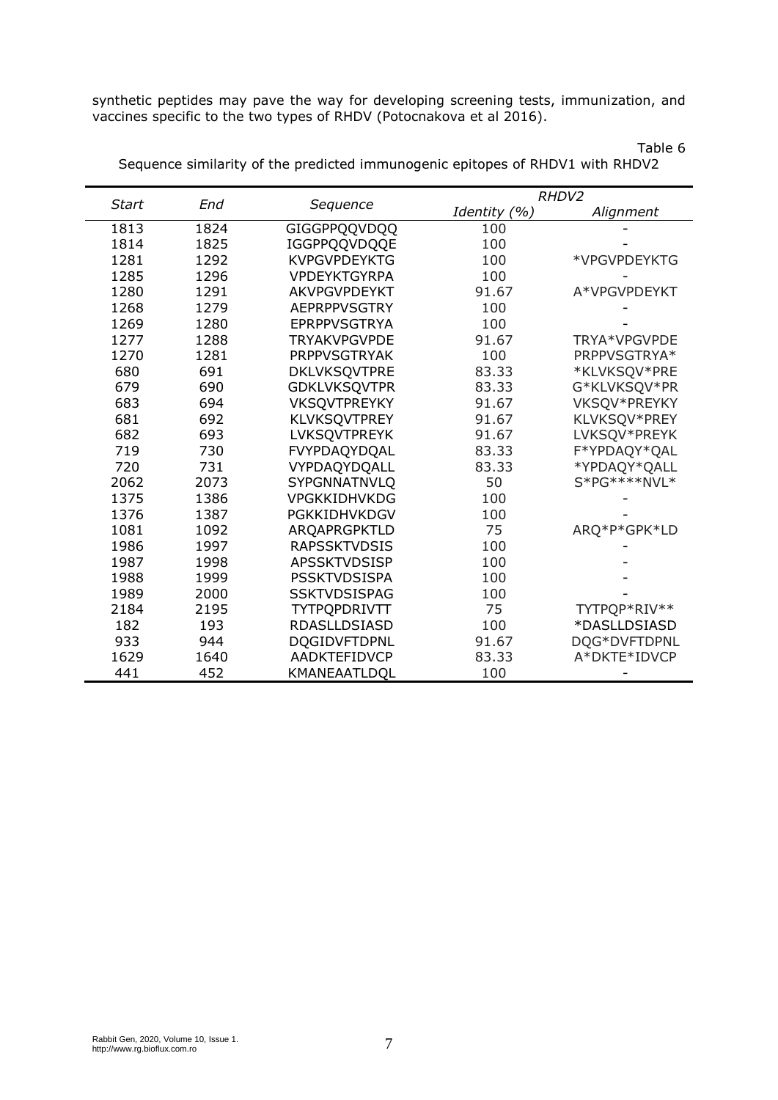synthetic peptides may pave the way for developing screening tests, immunization, and vaccines specific to the two types of RHDV (Potocnakova et al 2016).

| <b>Start</b><br>End |      |                     |              | RHDV2        |  |  |
|---------------------|------|---------------------|--------------|--------------|--|--|
|                     |      | Sequence            | Identity (%) | Alignment    |  |  |
| 1813                | 1824 | GIGGPPQQVDQQ        | 100          |              |  |  |
| 1814                | 1825 | IGGPPQQVDQQE        | 100          |              |  |  |
| 1281                | 1292 | <b>KVPGVPDEYKTG</b> | 100          | *VPGVPDEYKTG |  |  |
| 1285                | 1296 | <b>VPDEYKTGYRPA</b> | 100          |              |  |  |
| 1280                | 1291 | <b>AKVPGVPDEYKT</b> | 91.67        | A*VPGVPDEYKT |  |  |
| 1268                | 1279 | <b>AEPRPPVSGTRY</b> | 100          |              |  |  |
| 1269                | 1280 | <b>EPRPPVSGTRYA</b> | 100          |              |  |  |
| 1277                | 1288 | <b>TRYAKVPGVPDE</b> | 91.67        | TRYA*VPGVPDE |  |  |
| 1270                | 1281 | <b>PRPPVSGTRYAK</b> | 100          | PRPPVSGTRYA* |  |  |
| 680                 | 691  | <b>DKLVKSQVTPRE</b> | 83.33        | *KLVKSQV*PRE |  |  |
| 679                 | 690  | <b>GDKLVKSQVTPR</b> | 83.33        | G*KLVKSQV*PR |  |  |
| 683                 | 694  | <b>VKSQVTPREYKY</b> | 91.67        | VKSQV*PREYKY |  |  |
| 681                 | 692  | <b>KLVKSQVTPREY</b> | 91.67        | KLVKSQV*PREY |  |  |
| 682                 | 693  | LVKSQVTPREYK        | 91.67        | LVKSQV*PREYK |  |  |
| 719                 | 730  | FVYPDAQYDQAL        | 83.33        | F*YPDAQY*QAL |  |  |
| 720                 | 731  | VYPDAQYDQALL        | 83.33        | *YPDAQY*QALL |  |  |
| 2062                | 2073 | SYPGNNATNVLQ        | 50           | S*PG****NVL* |  |  |
| 1375                | 1386 | VPGKKIDHVKDG        | 100          |              |  |  |
| 1376                | 1387 | PGKKIDHVKDGV        | 100          |              |  |  |
| 1081                | 1092 | ARQAPRGPKTLD        | 75           | ARQ*P*GPK*LD |  |  |
| 1986                | 1997 | <b>RAPSSKTVDSIS</b> | 100          |              |  |  |
| 1987                | 1998 | <b>APSSKTVDSISP</b> | 100          |              |  |  |
| 1988                | 1999 | <b>PSSKTVDSISPA</b> | 100          |              |  |  |
| 1989                | 2000 | <b>SSKTVDSISPAG</b> | 100          |              |  |  |
| 2184                | 2195 | TYTPQPDRIVTT        | 75           | TYTPQP*RIV** |  |  |
| 182                 | 193  | <b>RDASLLDSIASD</b> | 100          | *DASLLDSIASD |  |  |
| 933                 | 944  | <b>DQGIDVFTDPNL</b> | 91.67        | DQG*DVFTDPNL |  |  |
| 1629                | 1640 | AADKTEFIDVCP        | 83.33        | A*DKTE*IDVCP |  |  |
| 441                 | 452  | KMANEAATLDOL        | 100          |              |  |  |

Table 6 Sequence similarity of the predicted immunogenic epitopes of RHDV1 with RHDV2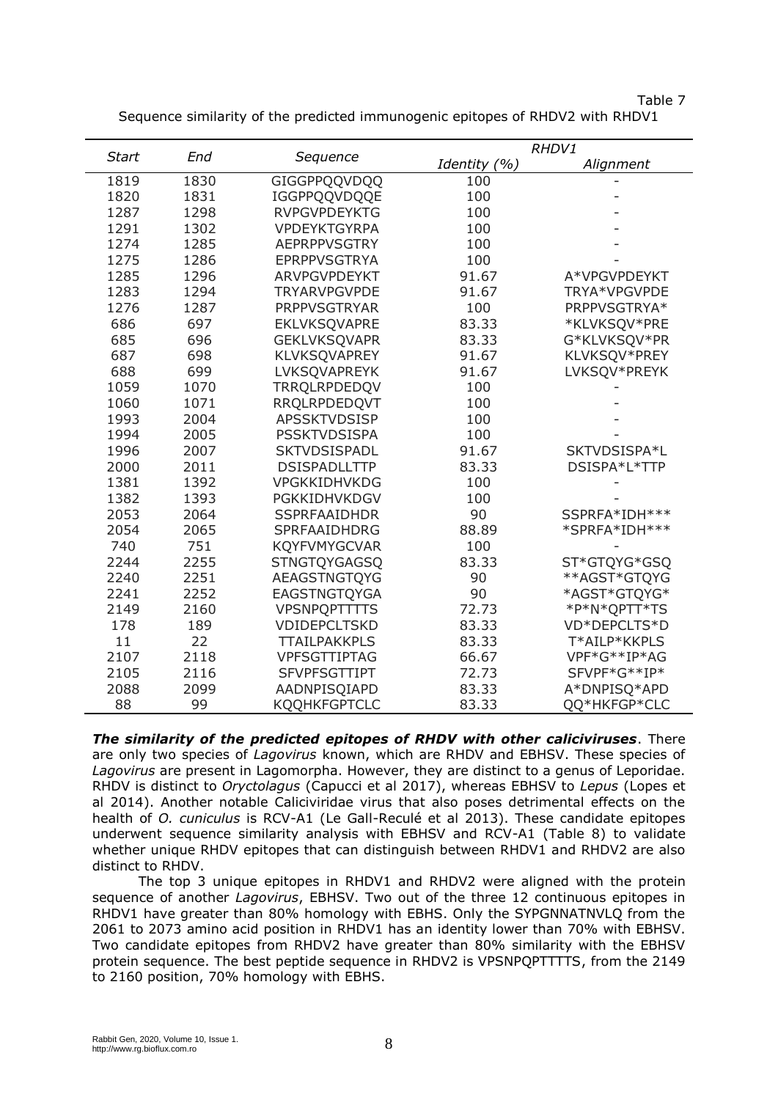| ч.<br>. .<br>٠<br>×<br>v |
|--------------------------|
|--------------------------|

| <b>Start</b><br>End |      | Sequence            |              | RHDV1         |  |  |
|---------------------|------|---------------------|--------------|---------------|--|--|
|                     |      |                     | Identity (%) | Alignment     |  |  |
| 1819                | 1830 | GIGGPPQQVDQQ        | 100          |               |  |  |
| 1820                | 1831 | IGGPPQQVDQQE        | 100          |               |  |  |
| 1287                | 1298 | <b>RVPGVPDEYKTG</b> | 100          |               |  |  |
| 1291                | 1302 | <b>VPDEYKTGYRPA</b> | 100          |               |  |  |
| 1274                | 1285 | <b>AEPRPPVSGTRY</b> | 100          |               |  |  |
| 1275                | 1286 | <b>EPRPPVSGTRYA</b> | 100          |               |  |  |
| 1285                | 1296 | <b>ARVPGVPDEYKT</b> | 91.67        | A*VPGVPDEYKT  |  |  |
| 1283                | 1294 | <b>TRYARVPGVPDE</b> | 91.67        | TRYA*VPGVPDE  |  |  |
| 1276                | 1287 | <b>PRPPVSGTRYAR</b> | 100          | PRPPVSGTRYA*  |  |  |
| 686                 | 697  | EKLVKSQVAPRE        | 83.33        | *KLVKSQV*PRE  |  |  |
| 685                 | 696  | <b>GEKLVKSQVAPR</b> | 83.33        | G*KLVKSQV*PR  |  |  |
| 687                 | 698  | KLVKSQVAPREY        | 91.67        | KLVKSQV*PREY  |  |  |
| 688                 | 699  | LVKSQVAPREYK        | 91.67        | LVKSQV*PREYK  |  |  |
| 1059                | 1070 | TRRQLRPDEDQV        | 100          |               |  |  |
| 1060                | 1071 | RRQLRPDEDQVT        | 100          |               |  |  |
| 1993                | 2004 | <b>APSSKTVDSISP</b> | 100          |               |  |  |
| 1994                | 2005 | <b>PSSKTVDSISPA</b> | 100          |               |  |  |
| 1996                | 2007 | SKTVDSISPADL        | 91.67        | SKTVDSISPA*L  |  |  |
| 2000                | 2011 | <b>DSISPADLLTTP</b> | 83.33        | DSISPA*L*TTP  |  |  |
| 1381                | 1392 | VPGKKIDHVKDG        | 100          |               |  |  |
| 1382                | 1393 | PGKKIDHVKDGV        | 100          |               |  |  |
| 2053                | 2064 | <b>SSPRFAAIDHDR</b> | 90           | SSPRFA*IDH*** |  |  |
| 2054                | 2065 | SPRFAAIDHDRG        | 88.89        | *SPRFA*IDH*** |  |  |
| 740                 | 751  | <b>KQYFVMYGCVAR</b> | 100          |               |  |  |
| 2244                | 2255 | <b>STNGTQYGAGSQ</b> | 83.33        | ST*GTQYG*GSQ  |  |  |
| 2240                | 2251 | AEAGSTNGTQYG        | 90           | **AGST*GTQYG  |  |  |
| 2241                | 2252 | EAGSTNGTQYGA        | 90           | *AGST*GTQYG*  |  |  |
| 2149                | 2160 | <b>VPSNPQPTTTTS</b> | 72.73        | *P*N*QPTT*TS  |  |  |
| 178                 | 189  | VDIDEPCLTSKD        | 83.33        | VD*DEPCLTS*D  |  |  |
| 11                  | 22   | <b>TTAILPAKKPLS</b> | 83.33        | T*AILP*KKPLS  |  |  |
| 2107                | 2118 | VPFSGTTIPTAG        | 66.67        | VPF*G**IP*AG  |  |  |
| 2105                | 2116 | <b>SFVPFSGTTIPT</b> | 72.73        | SFVPF*G**IP*  |  |  |
| 2088                | 2099 | AADNPISQIAPD        | 83.33        | A*DNPISQ*APD  |  |  |
| 88                  | 99   | KQQHKFGPTCLC        | 83.33        | QQ*HKFGP*CLC  |  |  |

Sequence similarity of the predicted immunogenic epitopes of RHDV2 with RHDV1

*The similarity of the predicted epitopes of RHDV with other caliciviruses*. There are only two species of *Lagovirus* known, which are RHDV and EBHSV. These species of *Lagovirus* are present in Lagomorpha. However, they are distinct to a genus of Leporidae. RHDV is distinct to *Oryctolagus* (Capucci et al 2017), whereas EBHSV to *Lepus* (Lopes et al 2014). Another notable Caliciviridae virus that also poses detrimental effects on the health of *O. cuniculus* is RCV-A1 (Le Gall-Reculé et al 2013). These candidate epitopes underwent sequence similarity analysis with EBHSV and RCV-A1 (Table 8) to validate whether unique RHDV epitopes that can distinguish between RHDV1 and RHDV2 are also distinct to RHDV.

The top 3 unique epitopes in RHDV1 and RHDV2 were aligned with the protein sequence of another *Lagovirus*, EBHSV. Two out of the three 12 continuous epitopes in RHDV1 have greater than 80% homology with EBHS. Only the SYPGNNATNVLQ from the 2061 to 2073 amino acid position in RHDV1 has an identity lower than 70% with EBHSV. Two candidate epitopes from RHDV2 have greater than 80% similarity with the EBHSV protein sequence. The best peptide sequence in RHDV2 is VPSNPQPTTTTS, from the 2149 to 2160 position, 70% homology with EBHS.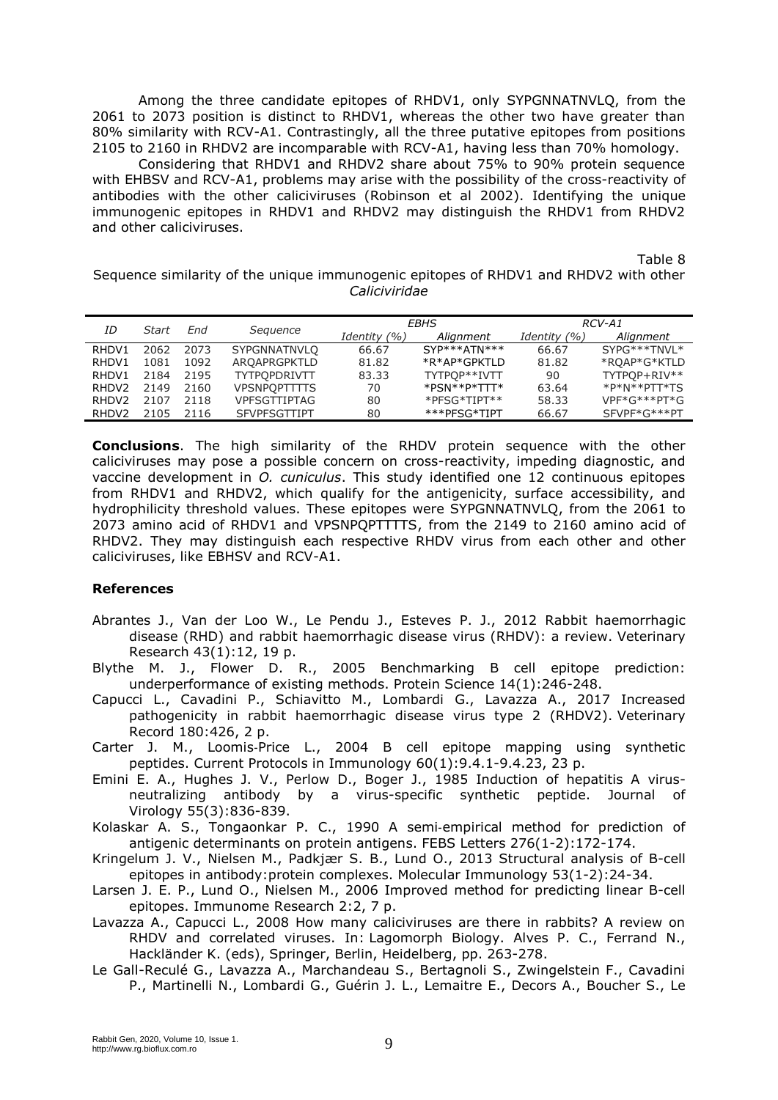Among the three candidate epitopes of RHDV1, only SYPGNNATNVLQ, from the 2061 to 2073 position is distinct to RHDV1, whereas the other two have greater than 80% similarity with RCV-A1. Contrastingly, all the three putative epitopes from positions 2105 to 2160 in RHDV2 are incomparable with RCV-A1, having less than 70% homology.

Considering that RHDV1 and RHDV2 share about 75% to 90% protein sequence with EHBSV and RCV-A1, problems may arise with the possibility of the cross-reactivity of antibodies with the other caliciviruses (Robinson et al 2002). Identifying the unique immunogenic epitopes in RHDV1 and RHDV2 may distinguish the RHDV1 from RHDV2 and other caliciviruses.

Table 8

Sequence similarity of the unique immunogenic epitopes of RHDV1 and RHDV2 with other *Caliciviridae*

| ΙD                | Start | End  |                     | EBHS         |                               | RCV-A1       |                |
|-------------------|-------|------|---------------------|--------------|-------------------------------|--------------|----------------|
|                   |       |      | Sequence            | Identity (%) | Alignment                     | Identity (%) | Alignment      |
| RHDV1             | 2062  | 2073 | <b>SYPGNNATNVLO</b> | 66.67        | SYP***ATN***                  | 66.67        | SYPG***TNVL*   |
| RHDV1             | 1081  | 1092 | AROAPRGPKTLD        | 81.82        | *R*AP*GPKTLD                  | 81.82        | *ROAP*G*KTLD   |
| RHDV1             | 2184  | 2195 | <b>TYTPOPDRIVTT</b> | 83.33        | TYTPOP**IVTT                  | 90           | TYTPOP+RIV**   |
| RHDV <sub>2</sub> | 2149  | 2160 | <b>VPSNPOPTTTTS</b> | 70           | $*$ PSN $*$ $*$ P $*$ TTT $*$ | 63.64        | *P*N**PTT*TS   |
| RHDV <sub>2</sub> | 2107  | 2118 | <b>VPFSGTTIPTAG</b> | 80           | $*$ PFSG $*$ TIPT $**$        | 58.33        | $VPF*G***PT*G$ |
| RHDV <sub>2</sub> | 2105  | 2116 | <b>SFVPFSGTTIPT</b> | 80           | ***PFSG*TIPT                  | 66.67        | SFVPF*G***PT   |
|                   |       |      |                     |              |                               |              |                |

**Conclusions**. The high similarity of the RHDV protein sequence with the other caliciviruses may pose a possible concern on cross-reactivity, impeding diagnostic, and vaccine development in *O. cuniculus*. This study identified one 12 continuous epitopes from RHDV1 and RHDV2, which qualify for the antigenicity, surface accessibility, and hydrophilicity threshold values. These epitopes were SYPGNNATNVLQ, from the 2061 to 2073 amino acid of RHDV1 and VPSNPQPTTTTS, from the 2149 to 2160 amino acid of RHDV2. They may distinguish each respective RHDV virus from each other and other caliciviruses, like EBHSV and RCV-A1.

## **References**

- Abrantes J., Van der Loo W., Le Pendu J., Esteves P. J., 2012 Rabbit haemorrhagic disease (RHD) and rabbit haemorrhagic disease virus (RHDV): a review. Veterinary Research 43(1):12, 19 p.
- Blythe M. J., Flower D. R., 2005 Benchmarking B cell epitope prediction: underperformance of existing methods. Protein Science 14(1):246-248.
- Capucci L., Cavadini P., Schiavitto M., Lombardi G., Lavazza A., 2017 Increased pathogenicity in rabbit haemorrhagic disease virus type 2 (RHDV2). Veterinary Record 180:426, 2 p.
- Carter J. M., Loomis‐Price L., 2004 B cell epitope mapping using synthetic peptides. Current Protocols in Immunology 60(1):9.4.1-9.4.23, 23 p.
- Emini E. A., Hughes J. V., Perlow D., Boger J., 1985 Induction of hepatitis A virusneutralizing antibody by a virus-specific synthetic peptide. Journal of Virology 55(3):836-839.
- Kolaskar A. S., Tongaonkar P. C., 1990 A semi-empirical method for prediction of antigenic determinants on protein antigens. FEBS Letters 276(1-2):172-174.
- Kringelum J. V., Nielsen M., Padkjær S. B., Lund O., 2013 Structural analysis of B-cell epitopes in antibody:protein complexes. Molecular Immunology 53(1-2):24-34.
- Larsen J. E. P., Lund O., Nielsen M., 2006 Improved method for predicting linear B-cell epitopes. Immunome Research 2:2, 7 p.
- Lavazza A., Capucci L., 2008 How many caliciviruses are there in rabbits? A review on RHDV and correlated viruses. In: Lagomorph Biology. Alves P. C., Ferrand N., Hackländer K. (eds), Springer, Berlin, Heidelberg, pp. 263-278.
- Le Gall-Reculé G., Lavazza A., Marchandeau S., Bertagnoli S., Zwingelstein F., Cavadini P., Martinelli N., Lombardi G., Guérin J. L., Lemaitre E., Decors A., Boucher S., Le